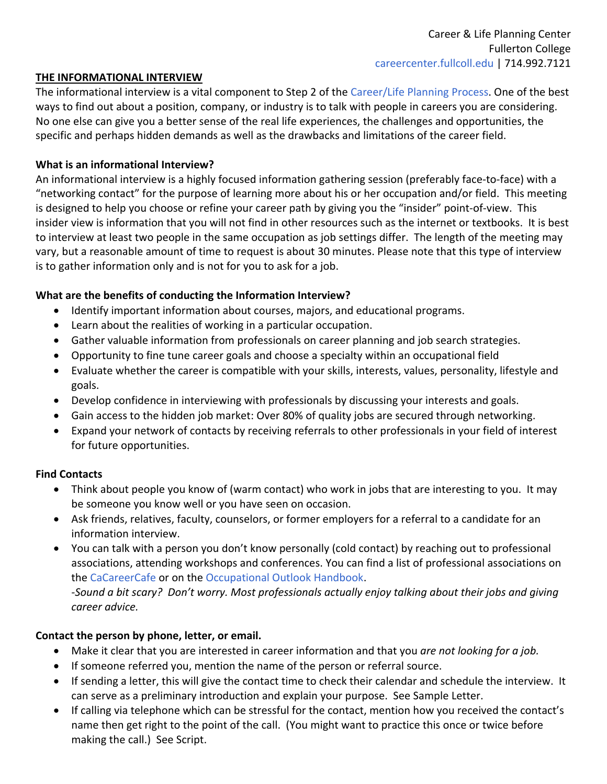#### **THE INFORMATIONAL INTERVIEW**

The informational interview is a vital component to Step 2 of the Career/Life Planning Process. One of the best ways to find out about a position, company, or industry is to talk with people in careers you are considering. No one else can give you a better sense of the real life experiences, the challenges and opportunities, the specific and perhaps hidden demands as well as the drawbacks and limitations of the career field.

### **What is an informational Interview?**

An informational interview is a highly focused information gathering session (preferably face‐to‐face) with a "networking contact" for the purpose of learning more about his or her occupation and/or field. This meeting is designed to help you choose or refine your career path by giving you the "insider" point‐of‐view. This insider view is information that you will not find in other resources such as the internet or textbooks. It is best to interview at least two people in the same occupation as job settings differ. The length of the meeting may vary, but a reasonable amount of time to request is about 30 minutes. Please note that this type of interview is to gather information only and is not for you to ask for a job.

### **What are the benefits of conducting the Information Interview?**

- Identify important information about courses, majors, and educational programs.
- Learn about the realities of working in a particular occupation.
- Gather valuable information from professionals on career planning and job search strategies.
- Opportunity to fine tune career goals and choose a specialty within an occupational field
- Evaluate whether the career is compatible with your skills, interests, values, personality, lifestyle and goals.
- Develop confidence in interviewing with professionals by discussing your interests and goals.
- Gain access to the hidden job market: Over 80% of quality jobs are secured through networking.
- Expand your network of contacts by receiving referrals to other professionals in your field of interest for future opportunities.

## **Find Contacts**

- Think about people you know of (warm contact) who work in jobs that are interesting to you. It may be someone you know well or you have seen on occasion.
- Ask friends, relatives, faculty, counselors, or former employers for a referral to a candidate for an information interview.
- You can talk with a person you don't know personally (cold contact) by reaching out to professional associations, attending workshops and conferences. You can find a list of professional associations on the CaCareerCafe or on the Occupational Outlook Handbook.

-Sound a bit scary? Don't worry. Most professionals actually enjoy talking about their jobs and giving *career advice.* 

## **Contact the person by phone, letter, or email.**

- Make it clear that you are interested in career information and that you *are not looking for a job.*
- If someone referred you, mention the name of the person or referral source.
- If sending a letter, this will give the contact time to check their calendar and schedule the interview. It can serve as a preliminary introduction and explain your purpose. See Sample Letter.
- If calling via telephone which can be stressful for the contact, mention how you received the contact's name then get right to the point of the call. (You might want to practice this once or twice before making the call.) See Script.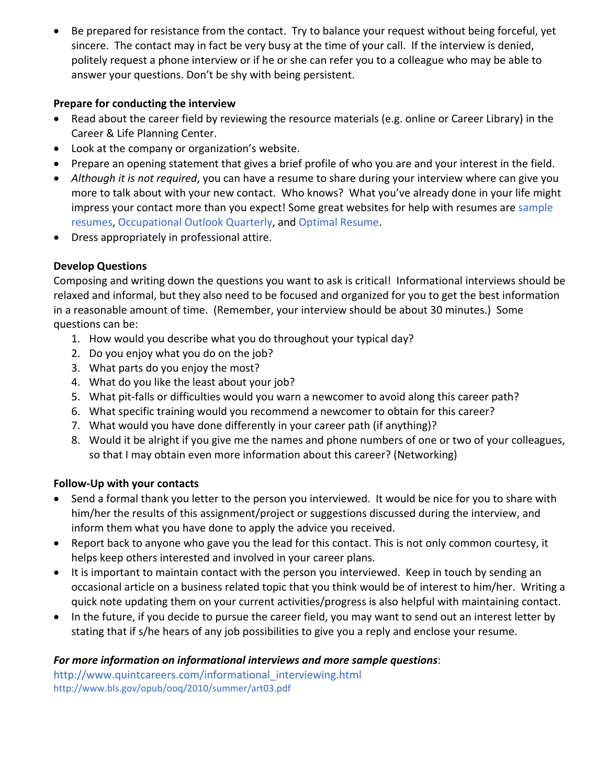Be prepared for resistance from the contact. Try to balance your request without being forceful, yet sincere. The contact may in fact be very busy at the time of your call. If the interview is denied, politely request a phone interview or if he or she can refer you to a colleague who may be able to answer your questions. Don't be shy with being persistent.

## **Prepare for conducting the interview**

- Read about the career field by reviewing the resource materials (e.g. online or Career Library) in the Career & Life Planning Center.
- Look at the company or organization's website.
- Prepare an opening statement that gives a brief profile of who you are and your interest in the field.
- *Although it is not required*, you can have a resume to share during your interview where can give you more to talk about with your new contact. Who knows? What you've already done in your life might impress your contact more than you expect! Some great websites for help with resumes are sample resumes, Occupational Outlook Quarterly, and Optimal Resume.
- Dress appropriately in professional attire.

# **Develop Questions**

Composing and writing down the questions you want to ask is critical! Informational interviews should be relaxed and informal, but they also need to be focused and organized for you to get the best information in a reasonable amount of time. (Remember, your interview should be about 30 minutes.) Some questions can be:

- 1. How would you describe what you do throughout your typical day?
- 2. Do you enjoy what you do on the job?
- 3. What parts do you enjoy the most?
- 4. What do you like the least about your job?
- 5. What pit-falls or difficulties would you warn a newcomer to avoid along this career path?
- 6. What specific training would you recommend a newcomer to obtain for this career?
- 7. What would you have done differently in your career path (if anything)?
- 8. Would it be alright if you give me the names and phone numbers of one or two of your colleagues, so that I may obtain even more information about this career? (Networking)

# **Follow‐Up with your contacts**

- Send a formal thank you letter to the person you interviewed. It would be nice for you to share with him/her the results of this assignment/project or suggestions discussed during the interview, and inform them what you have done to apply the advice you received.
- Report back to anyone who gave you the lead for this contact. This is not only common courtesy, it helps keep others interested and involved in your career plans.
- It is important to maintain contact with the person you interviewed. Keep in touch by sending an occasional article on a business related topic that you think would be of interest to him/her. Writing a quick note updating them on your current activities/progress is also helpful with maintaining contact.
- In the future, if you decide to pursue the career field, you may want to send out an interest letter by stating that if s/he hears of any job possibilities to give you a reply and enclose your resume.

# *For more information on informational interviews and more sample questions*:

http://www.quintcareers.com/informational\_interviewing.html http://www.bls.gov/opub/ooq/2010/summer/art03.pdf